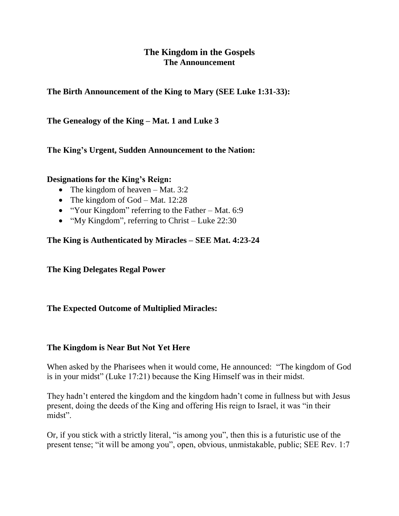# **The Kingdom in the Gospels The Announcement**

**The Birth Announcement of the King to Mary (SEE Luke 1:31-33):**

**The Genealogy of the King – Mat. 1 and Luke 3**

**The King's Urgent, Sudden Announcement to the Nation:**

#### **Designations for the King's Reign:**

- The kingdom of heaven Mat. 3:2
- The kingdom of God Mat.  $12:28$
- "Your Kingdom" referring to the Father Mat. 6:9
- "My Kingdom", referring to Christ Luke  $22:30$

## **The King is Authenticated by Miracles – SEE Mat. 4:23-24**

**The King Delegates Regal Power**

## **The Expected Outcome of Multiplied Miracles:**

#### **The Kingdom is Near But Not Yet Here**

When asked by the Pharisees when it would come, He announced: "The kingdom of God is in your midst" (Luke 17:21) because the King Himself was in their midst.

They hadn't entered the kingdom and the kingdom hadn't come in fullness but with Jesus present, doing the deeds of the King and offering His reign to Israel, it was "in their midst".

Or, if you stick with a strictly literal, "is among you", then this is a futuristic use of the present tense; "it will be among you", open, obvious, unmistakable, public; SEE Rev. 1:7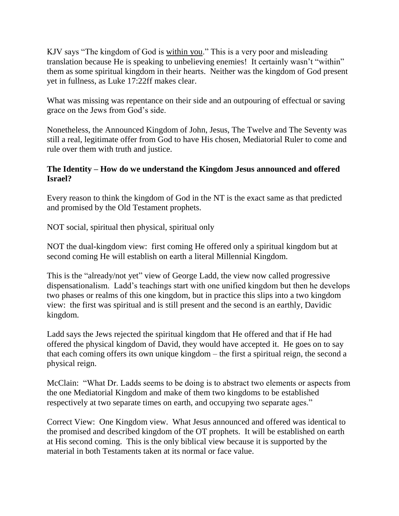KJV says "The kingdom of God is within you." This is a very poor and misleading translation because He is speaking to unbelieving enemies! It certainly wasn't "within" them as some spiritual kingdom in their hearts. Neither was the kingdom of God present yet in fullness, as Luke 17:22ff makes clear.

What was missing was repentance on their side and an outpouring of effectual or saving grace on the Jews from God's side.

Nonetheless, the Announced Kingdom of John, Jesus, The Twelve and The Seventy was still a real, legitimate offer from God to have His chosen, Mediatorial Ruler to come and rule over them with truth and justice.

### **The Identity – How do we understand the Kingdom Jesus announced and offered Israel?**

Every reason to think the kingdom of God in the NT is the exact same as that predicted and promised by the Old Testament prophets.

NOT social, spiritual then physical, spiritual only

NOT the dual-kingdom view: first coming He offered only a spiritual kingdom but at second coming He will establish on earth a literal Millennial Kingdom.

This is the "already/not yet" view of George Ladd, the view now called progressive dispensationalism. Ladd's teachings start with one unified kingdom but then he develops two phases or realms of this one kingdom, but in practice this slips into a two kingdom view: the first was spiritual and is still present and the second is an earthly, Davidic kingdom.

Ladd says the Jews rejected the spiritual kingdom that He offered and that if He had offered the physical kingdom of David, they would have accepted it. He goes on to say that each coming offers its own unique kingdom – the first a spiritual reign, the second a physical reign.

McClain: "What Dr. Ladds seems to be doing is to abstract two elements or aspects from the one Mediatorial Kingdom and make of them two kingdoms to be established respectively at two separate times on earth, and occupying two separate ages."

Correct View: One Kingdom view. What Jesus announced and offered was identical to the promised and described kingdom of the OT prophets. It will be established on earth at His second coming. This is the only biblical view because it is supported by the material in both Testaments taken at its normal or face value.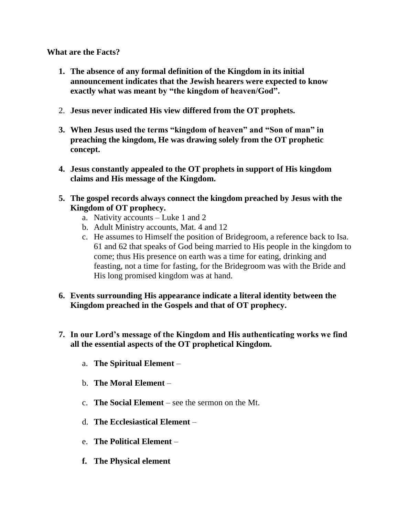**What are the Facts?**

- **1. The absence of any formal definition of the Kingdom in its initial announcement indicates that the Jewish hearers were expected to know exactly what was meant by "the kingdom of heaven/God".**
- 2. **Jesus never indicated His view differed from the OT prophets.**
- **3. When Jesus used the terms "kingdom of heaven" and "Son of man" in preaching the kingdom, He was drawing solely from the OT prophetic concept.**
- **4. Jesus constantly appealed to the OT prophets in support of His kingdom claims and His message of the Kingdom.**
- **5. The gospel records always connect the kingdom preached by Jesus with the Kingdom of OT prophecy.** 
	- a. Nativity accounts Luke 1 and 2
	- b. Adult Ministry accounts, Mat. 4 and 12
	- c. He assumes to Himself the position of Bridegroom, a reference back to Isa. 61 and 62 that speaks of God being married to His people in the kingdom to come; thus His presence on earth was a time for eating, drinking and feasting, not a time for fasting, for the Bridegroom was with the Bride and His long promised kingdom was at hand.
- **6. Events surrounding His appearance indicate a literal identity between the Kingdom preached in the Gospels and that of OT prophecy.**
- **7. In our Lord's message of the Kingdom and His authenticating works we find all the essential aspects of the OT prophetical Kingdom.**
	- a. **The Spiritual Element** –
	- b. **The Moral Element** –
	- c. **The Social Element**  see the sermon on the Mt.
	- d. **The Ecclesiastical Element** –
	- e. **The Political Element** –
	- **f. The Physical element**